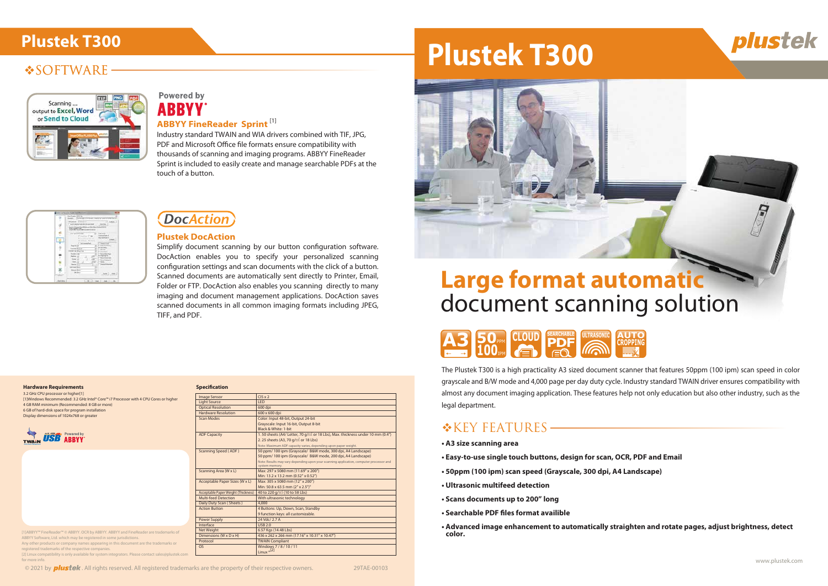### **SOFTWARE**



### **Powered by ABBYY**

The Plustek T300 is a high practicality A3 sized document scanner that features 50ppm (100 ipm) scan speed in color grayscale and B/W mode and 4,000 page per day duty cycle. Industry standard TWAIN driver ensures compatibility with almost any document imaging application. These features help not only education but also other industry, such as the legal department.

### **\*KEY FEATURES-**

- **A3 size scanning area**
- **Easy-to-use single touch buttons, design for scan, OCR, PDF and Email**
- **50ppm (100 ipm) scan speed (Grayscale, 300 dpi, A4 Landscape)**
- **Ultrasonic multifeed detection**
- **Scans documents up to 200" long**
- **Searchable PDF files format availible**
- **Advanced image enhancement to automatically straighten and rotate pages, adjust brightness, detect color.**



Simplify document scanning by our button configuration software. DocAction enables you to specify your personalized scanning configuration settings and scan documents with the click of a button. Scanned documents are automatically sent directly to Printer, Email, Folder or FTP. DocAction also enables you scanning directly to many imaging and document management applications. DocAction saves scanned documents in all common imaging formats including JPEG, TIFF, and PDF.

> Image Sensor CIS x 2 Light Source<br>
> Optical Resolution<br>
> Optical Resolution<br>
> 600 dp

Hardware Resolution 600 x 600 dpi

Power Supply 24 Vdc/ 2.7 A

Net Weight 6.57 Kgs (14.48 Lbs)

Scan Modes Color: Input 48-bit, Output 24-bit

system memory.<br>Scanning Area (W x L) Max: 297 x 5080 mm (11.69" x 200")

Acceptable Paper Sizes (W x L) Max: 305 x 5080 mm (12" x 200")<br>Min: 50.8 x 63.5 mm (2" x 2.5")" Acceptable Paper Weight (Thickness) 40 to 220 g/m<sup>2</sup> (10 to 58 Lbs)<br>Multi-feed Detection With ultrasonic technology

Action Button 4 Buttons: Up, Down, Scan, Standby

 $USB$  2.0

Dimensions (W x D x H) 436 x 262 x 266 mm (17.16" x 10.31" x 10.47") **TWAIN Compl** 

### **ABBYY FineReader Sprint** [1]

Industry standard TWAIN and WIA drivers combined with TIF, JPG, PDF and Microsoft Office file formats ensure compatibility with thousands of scanning and imaging programs. ABBYY FineReader Sprint is included to easily create and manage searchable PDFs at the touch of a button.

|                     | Ing Soles 249-180                                      |                                                    |  |
|---------------------|--------------------------------------------------------|----------------------------------------------------|--|
|                     | Total base in the model country to sub-trench banks of |                                                    |  |
|                     | Humm 20101<br>Louis August ball del the period         | <b>THE PRID</b>                                    |  |
| ç                   | got a 1 Poppi's URA and North                          | <b>CONTRACT</b>                                    |  |
|                     | <b>SAN FRANCISCO</b>                                   |                                                    |  |
| ۱ij                 | 计下列                                                    | <b>STATISTICS</b>                                  |  |
|                     |                                                        | $10.44 - 4$                                        |  |
|                     |                                                        |                                                    |  |
|                     | 4-14 Elsin Winniped<br>["imitemphal                    |                                                    |  |
|                     | wixar                                                  | ----                                               |  |
|                     | <b>Section Search</b>                                  | <b>Address Avenue</b>                              |  |
|                     | HF16 Palify                                            |                                                    |  |
|                     | me list<br>Fair Li                                     | <b>Restriction Page</b><br><b><i>Institute</i></b> |  |
|                     | <b>MAP 33</b>                                          |                                                    |  |
|                     | <b>TAXA AD</b>                                         | free charges<br><b>SEARCH</b>                      |  |
|                     | <b>BADE (FA)</b>                                       | Transit & disposant                                |  |
|                     | <b>Card Seat</b>                                       | and the company                                    |  |
|                     | <b>And Blue</b>                                        |                                                    |  |
|                     | <b>No Column</b>                                       | her Little                                         |  |
|                     |                                                        |                                                    |  |
| <b>Dentistra: 3</b> |                                                        | [18] [se] [se] [38]                                |  |

## **DocAction**

### **Plustek DocAction**

### **Hardware Requirements**



3.2 GHz CPU processor or higher[1] [1]Windows Recommended: 3.2 GHz Intel® Core™ i7 Processor with 4 CPU Cores or higher 4 GB RAM minimum (Recommended: 8 GB or more) 6 GB of hard-disk space for program installation Display dimensions of 1024x768 or greater



### $[11ABBYY"$  FineReader $M \odot ABBYY$ . OCR by ABBYY. ABBYY and FineReader are trademarks of  $A$ ABBYY Software, Ltd. which may be registered in some jurisdictions. Any other products or company names appearing in this document are the trademarks or

Grayscale: Input 16-bit, Output 8-bit

Black & White: 1-bit

Optical Resolution

**Specification** 

Daily Duty Scan ( She

50 ppm/ 100 ipm (Grayscale/ B&W mode, 200 dpi, A4 Landscape) Note: Results may vary depending upon your scanning application, computer processor and

Min: 13.2 x 13.2 mm (0.52" x 0.52")

With ultrasonic technology

9 function keys: all customizable.

ADF Capacity 1.50 sheets (A4/ Letter, 70 g/m<sup>2</sup> or 18 Lbs), Max. thickness under 10 mm (0.4") 2. 25 sheets (A3, 20 g/ $\frac{1}{2}$  or 18 Lbs) nte: Maximum ADF capacity Scanning Speed (ADF) 50 ppm/ 100 ipm (Grayscale/ B&W mode, 300 dpi, A4 Landscap



# document scanning solution

| registered trademarks of the respective companies.<br>[2] Linux compatibility is only available for system integrators. Please contact sales@plustek.com | Windows 7/8/10/11<br>Linux * <sup>LZJ</sup> |
|----------------------------------------------------------------------------------------------------------------------------------------------------------|---------------------------------------------|
| for more info.                                                                                                                                           |                                             |

© 2021 by **plustek**. All rights reserved. All registered trademarks are the property of their respective owners. 29TAE-00103

# Plustek T300<br>**Plustek T300**